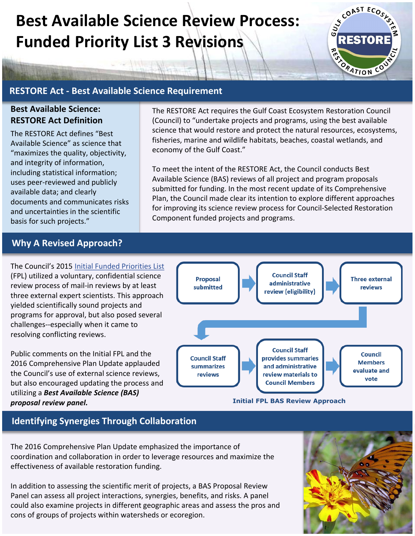# **Best Available Science Review Process: Funded Priority List 3 Revisions**



## **RESTORE Act - Best Available Science Requirement**

#### **Best Available Science: RESTORE Act Definition**

The RESTORE Act defines "Best Available Science" as science that "maximizes the quality, objectivity, and integrity of information, including statistical information; uses peer-reviewed and publicly available data; and clearly documents and communicates risks and uncertainties in the scientific basis for such projects."

The RESTORE Act requires the Gulf Coast Ecosystem Restoration Council (Council) to "undertake projects and programs, using the best available science that would restore and protect the natural resources, ecosystems, fisheries, marine and wildlife habitats, beaches, coastal wetlands, and economy of the Gulf Coast."

To meet the intent of the RESTORE Act, the Council conducts Best Available Science (BAS) reviews of all project and program proposals submitted for funding. In the most recent update of its Comprehensive Plan, the Council made clear its intention to explore different approaches for improving its science review process for Council-Selected Restoration Component funded projects and programs.

#### **Why A Revised Approach?**

The Council's 2015 [Initial Funded Priorities List](https://www.restorethegulf.gov/council-selected-restoration-component/initial-2015-funded-priorities-list)  (FPL) utilized a voluntary, confidential science review process of mail-in reviews by at least three external expert scientists. This approach yielded scientifically sound projects and programs for approval, but also posed several challenges--especially when it came to resolving conflicting reviews.

Public comments on the Initial FPL and the 2016 Comprehensive Plan Update applauded the Council's use of external science reviews, but also encouraged updating the process and utilizing a *Best Available Science (BAS)* 



## **Identifying Synergies Through Collaboration**

The 2016 Comprehensive Plan Update emphasized the importance of coordination and collaboration in order to leverage resources and maximize the effectiveness of available restoration funding.

In addition to assessing the scientific merit of projects, a BAS Proposal Review Panel can assess all project interactions, synergies, benefits, and risks. A panel could also examine projects in different geographic areas and assess the pros and cons of groups of projects within watersheds or ecoregion.